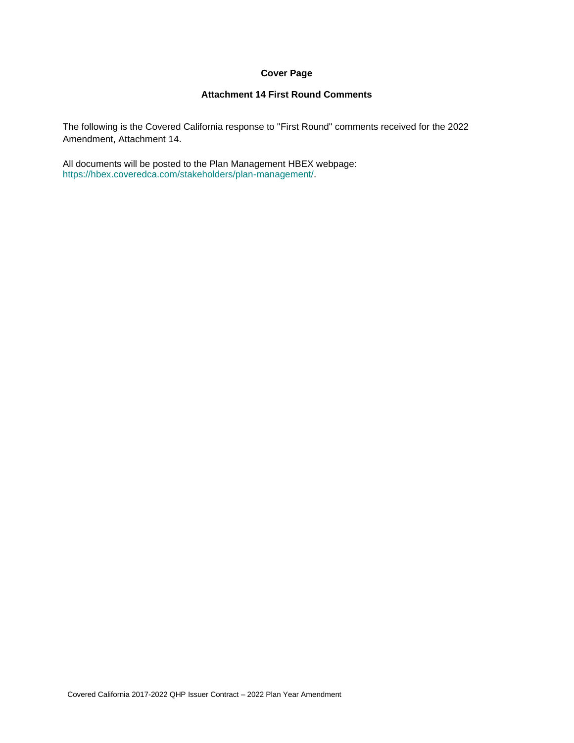## **Cover Page**

## **Attachment 14 First Round Comments**

The following is the Covered California response to "First Round" comments received for the 2022 Amendment, Attachment 14.

All documents will be posted to the Plan Management HBEX webpage: https://hbex.coveredca.com/stakeholders/plan-management/.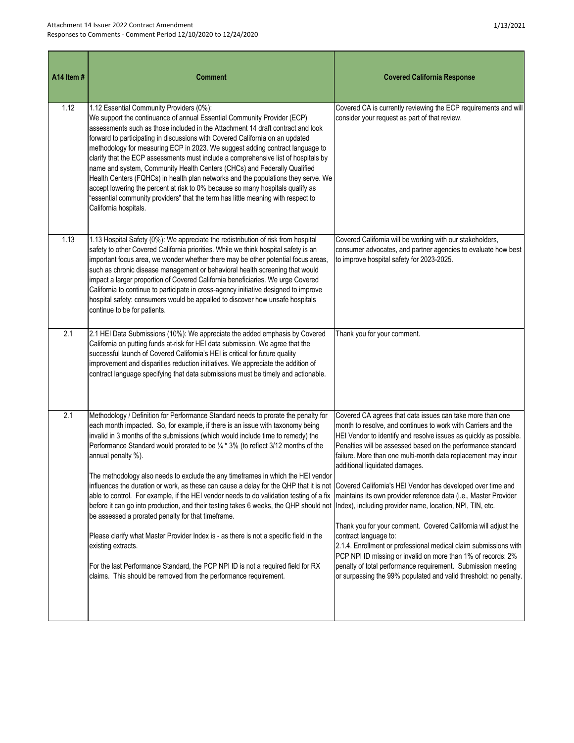| A14 Item# | <b>Comment</b>                                                                                                                                                                                                                                                                                                                                                                                                                                                                                                                                                                                                                                                                                                                                                                                                                 | <b>Covered California Response</b>                                                                                                                                                                                                                                                                                                                                 |
|-----------|--------------------------------------------------------------------------------------------------------------------------------------------------------------------------------------------------------------------------------------------------------------------------------------------------------------------------------------------------------------------------------------------------------------------------------------------------------------------------------------------------------------------------------------------------------------------------------------------------------------------------------------------------------------------------------------------------------------------------------------------------------------------------------------------------------------------------------|--------------------------------------------------------------------------------------------------------------------------------------------------------------------------------------------------------------------------------------------------------------------------------------------------------------------------------------------------------------------|
| 1.12      | 1.12 Essential Community Providers (0%):<br>We support the continuance of annual Essential Community Provider (ECP)<br>assessments such as those included in the Attachment 14 draft contract and look<br>forward to participating in discussions with Covered California on an updated<br>methodology for measuring ECP in 2023. We suggest adding contract language to<br>clarify that the ECP assessments must include a comprehensive list of hospitals by<br>name and system, Community Health Centers (CHCs) and Federally Qualified<br>Health Centers (FQHCs) in health plan networks and the populations they serve. We<br>accept lowering the percent at risk to 0% because so many hospitals qualify as<br>"essential community providers" that the term has little meaning with respect to<br>California hospitals. | Covered CA is currently reviewing the ECP requirements and will<br>consider your request as part of that review.                                                                                                                                                                                                                                                   |
| 1.13      | 1.13 Hospital Safety (0%): We appreciate the redistribution of risk from hospital<br>safety to other Covered California priorities. While we think hospital safety is an<br>important focus area, we wonder whether there may be other potential focus areas,<br>such as chronic disease management or behavioral health screening that would<br>impact a larger proportion of Covered California beneficiaries. We urge Covered<br>California to continue to participate in cross-agency initiative designed to improve<br>hospital safety: consumers would be appalled to discover how unsafe hospitals<br>continue to be for patients.                                                                                                                                                                                      | Covered California will be working with our stakeholders,<br>consumer advocates, and partner agencies to evaluate how best<br>to improve hospital safety for 2023-2025.                                                                                                                                                                                            |
| 2.1       | 2.1 HEI Data Submissions (10%): We appreciate the added emphasis by Covered<br>California on putting funds at-risk for HEI data submission. We agree that the<br>successful launch of Covered California's HEI is critical for future quality<br>improvement and disparities reduction initiatives. We appreciate the addition of<br>contract language specifying that data submissions must be timely and actionable.                                                                                                                                                                                                                                                                                                                                                                                                         | Thank you for your comment.                                                                                                                                                                                                                                                                                                                                        |
| 2.1       | Methodology / Definition for Performance Standard needs to prorate the penalty for<br>each month impacted. So, for example, if there is an issue with taxonomy being<br>invalid in 3 months of the submissions (which would include time to remedy) the<br>Performance Standard would prorated to be 1/4 * 3% (to reflect 3/12 months of the<br>annual penalty %).<br>The methodology also needs to exclude the any timeframes in which the HEI vendor                                                                                                                                                                                                                                                                                                                                                                         | Covered CA agrees that data issues can take more than one<br>month to resolve, and continues to work with Carriers and the<br>HEI Vendor to identify and resolve issues as quickly as possible.<br>Penalties will be assessed based on the performance standard<br>failure. More than one multi-month data replacement may incur<br>additional liquidated damages. |
|           | influences the duration or work, as these can cause a delay for the QHP that it is not Covered California's HEI Vendor has developed over time and                                                                                                                                                                                                                                                                                                                                                                                                                                                                                                                                                                                                                                                                             |                                                                                                                                                                                                                                                                                                                                                                    |

able to control. For example, if the HEI vendor needs to do validation testing of a fix |maintains its own provider reference data (i.e., Master Provider before it can go into production, and their testing takes 6 weeks, the QHP should not Index), including provider name, location, NPI, TIN, etc.

Please clarify what Master Provider Index is - as there is not a specific field in the existing extracts. Thank you for your comment. Covered California will adjust the

For the last Performance Standard, the PCP NPI ID is not a required field for RX claims. This should be removed from the performance requirement.

be assessed a prorated penalty for that timeframe.

contract language to: 2.1.4. Enrollment or professional medical claim submissions with PCP NPI ID missing or invalid on more than 1% of records: 2% penalty of total performance requirement. Submission meeting or surpassing the 99% populated and valid threshold: no penalty.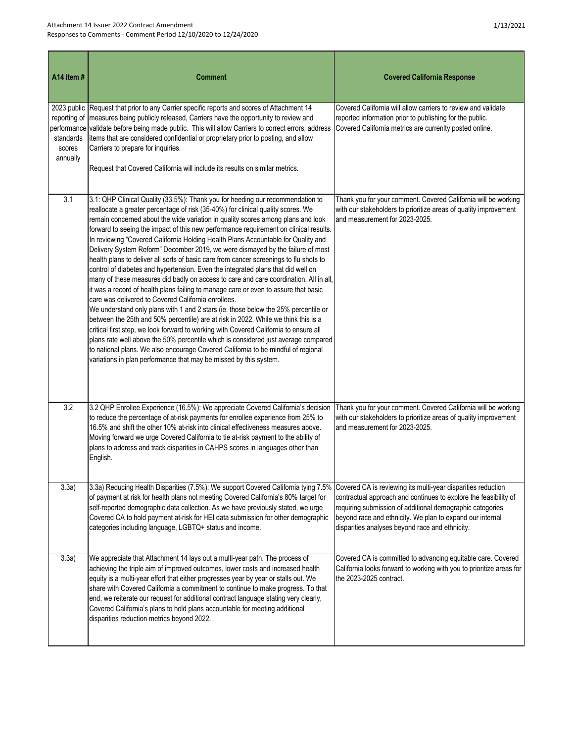| A14 Item#                                                                     | <b>Comment</b>                                                                                                                                                                                                                                                                                                                                                                                                                                                                                                                                                                                                                                                                                                                                                                                                                                                                                                                                                                                                                                                                                                                                                                                                                                                                                                                                                                                                                                                   | <b>Covered California Response</b>                                                                                                                                                                                                            |
|-------------------------------------------------------------------------------|------------------------------------------------------------------------------------------------------------------------------------------------------------------------------------------------------------------------------------------------------------------------------------------------------------------------------------------------------------------------------------------------------------------------------------------------------------------------------------------------------------------------------------------------------------------------------------------------------------------------------------------------------------------------------------------------------------------------------------------------------------------------------------------------------------------------------------------------------------------------------------------------------------------------------------------------------------------------------------------------------------------------------------------------------------------------------------------------------------------------------------------------------------------------------------------------------------------------------------------------------------------------------------------------------------------------------------------------------------------------------------------------------------------------------------------------------------------|-----------------------------------------------------------------------------------------------------------------------------------------------------------------------------------------------------------------------------------------------|
| 2023 public<br>reporting of<br>performance<br>standards<br>scores<br>annually | Request that prior to any Carrier specific reports and scores of Attachment 14<br>measures being publicly released, Carriers have the opportunity to review and<br>validate before being made public. This will allow Carriers to correct errors, address<br>items that are considered confidential or proprietary prior to posting, and allow<br>Carriers to prepare for inquiries.<br>Request that Covered California will include its results on similar metrics.                                                                                                                                                                                                                                                                                                                                                                                                                                                                                                                                                                                                                                                                                                                                                                                                                                                                                                                                                                                             | Covered California will allow carriers to review and validate<br>reported information prior to publishing for the public.<br>Covered California metrics are currenlty posted online.                                                          |
| 3.1                                                                           | 3.1: QHP Clinical Quality (33.5%): Thank you for heeding our recommendation to<br>reallocate a greater percentage of risk (35-40%) for clinical quality scores. We<br>remain concerned about the wide variation in quality scores among plans and look<br>forward to seeing the impact of this new performance requirement on clinical results.<br>In reviewing "Covered California Holding Health Plans Accountable for Quality and<br>Delivery System Reform" December 2019, we were dismayed by the failure of most<br>health plans to deliver all sorts of basic care from cancer screenings to flu shots to<br>control of diabetes and hypertension. Even the integrated plans that did well on<br>many of these measures did badly on access to care and care coordination. All in all,<br>it was a record of health plans failing to manage care or even to assure that basic<br>care was delivered to Covered California enrollees.<br>We understand only plans with 1 and 2 stars (ie. those below the 25% percentile or<br>between the 25th and 50% percentile) are at risk in 2022. While we think this is a<br>critical first step, we look forward to working with Covered California to ensure all<br>plans rate well above the 50% percentile which is considered just average compared<br>to national plans. We also encourage Covered California to be mindful of regional<br>variations in plan performance that may be missed by this system. | Thank you for your comment. Covered California will be working<br>with our stakeholders to prioritize areas of quality improvement<br>and measurement for 2023-2025.                                                                          |
| 3.2                                                                           | 3.2 QHP Enrollee Experience (16.5%): We appreciate Covered California's decision<br>to reduce the percentage of at-risk payments for enrollee experience from 25% to<br>16.5% and shift the other 10% at-risk into clinical effectiveness measures above.<br>Moving forward we urge Covered California to tie at-risk payment to the ability of<br>plans to address and track disparities in CAHPS scores in languages other than<br>English.                                                                                                                                                                                                                                                                                                                                                                                                                                                                                                                                                                                                                                                                                                                                                                                                                                                                                                                                                                                                                    | Thank you for your comment. Covered California will be working<br>with our stakeholders to prioritize areas of quality improvement<br>and measurement for 2023-2025.                                                                          |
| 3.3a)                                                                         | 3.3a) Reducing Health Disparities (7.5%): We support Covered California tying 7.5% Covered CA is reviewing its multi-year disparities reduction<br>of payment at risk for health plans not meeting Covered California's 80% target for<br>self-reported demographic data collection. As we have previously stated, we urge<br>Covered CA to hold payment at-risk for HEI data submission for other demographic<br>categories including language, LGBTQ+ status and income.                                                                                                                                                                                                                                                                                                                                                                                                                                                                                                                                                                                                                                                                                                                                                                                                                                                                                                                                                                                       | contractual approach and continues to explore the feasibility of<br>requiring submission of additional demographic categories<br>beyond race and ethnicity. We plan to expand our internal<br>disparities analyses beyond race and ethnicity. |
| 3.3a)                                                                         | We appreciate that Attachment 14 lays out a multi-year path. The process of<br>achieving the triple aim of improved outcomes, lower costs and increased health<br>equity is a multi-year effort that either progresses year by year or stalls out. We<br>share with Covered California a commitment to continue to make progress. To that<br>end, we reiterate our request for additional contract language stating very clearly,<br>Covered California's plans to hold plans accountable for meeting additional<br>disparities reduction metrics beyond 2022.                                                                                                                                                                                                                                                                                                                                                                                                                                                                                                                                                                                                                                                                                                                                                                                                                                                                                                   | Covered CA is committed to advancing equitable care. Covered<br>California looks forward to working with you to prioritize areas for<br>the 2023-2025 contract.                                                                               |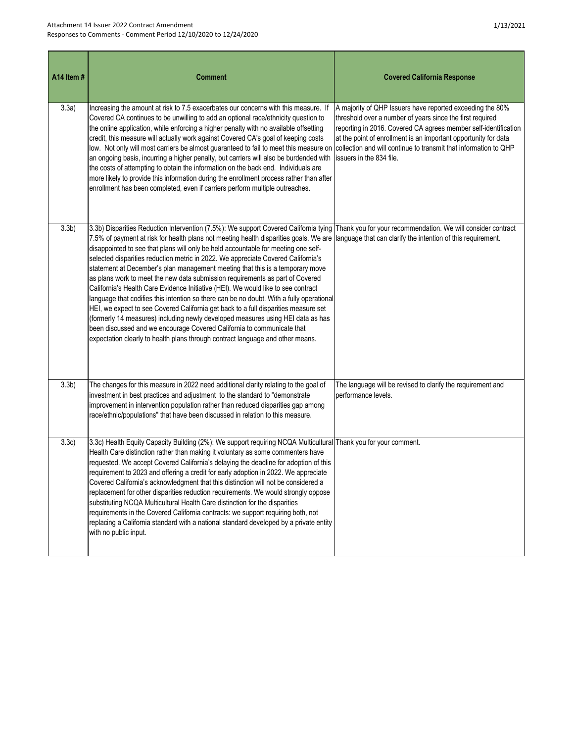| A14 Item#        | <b>Comment</b>                                                                                                                                                                                                                                                                                                                                                                                                                                                                                                                                                                                                                                                                                                                                                                                                                                                                                                                                                                                                                                                                                                 | <b>Covered California Response</b>                                                                                                                                                                                                                                                                                                                           |
|------------------|----------------------------------------------------------------------------------------------------------------------------------------------------------------------------------------------------------------------------------------------------------------------------------------------------------------------------------------------------------------------------------------------------------------------------------------------------------------------------------------------------------------------------------------------------------------------------------------------------------------------------------------------------------------------------------------------------------------------------------------------------------------------------------------------------------------------------------------------------------------------------------------------------------------------------------------------------------------------------------------------------------------------------------------------------------------------------------------------------------------|--------------------------------------------------------------------------------------------------------------------------------------------------------------------------------------------------------------------------------------------------------------------------------------------------------------------------------------------------------------|
| 3.3a)            | Increasing the amount at risk to 7.5 exacerbates our concerns with this measure. If<br>Covered CA continues to be unwilling to add an optional race/ethnicity question to<br>the online application, while enforcing a higher penalty with no available offsetting<br>credit, this measure will actually work against Covered CA's goal of keeping costs<br>low. Not only will most carriers be almost guaranteed to fail to meet this measure on<br>an ongoing basis, incurring a higher penalty, but carriers will also be burdended with<br>the costs of attempting to obtain the information on the back end. Individuals are<br>more likely to provide this information during the enrollment process rather than after<br>enrollment has been completed, even if carriers perform multiple outreaches.                                                                                                                                                                                                                                                                                                   | A majority of QHP Issuers have reported exceeding the 80%<br>threshold over a number of years since the first required<br>reporting in 2016. Covered CA agrees member self-identification<br>at the point of enrollment is an important opportunity for data<br>collection and will continue to transmit that information to QHP<br>issuers in the 834 file. |
| 3.3 <sub>b</sub> | 3.3b) Disparities Reduction Intervention (7.5%): We support Covered California tying<br>7.5% of payment at risk for health plans not meeting health disparities goals. We are language that can clarify the intention of this requirement.<br>disappointed to see that plans will only be held accountable for meeting one self-<br>selected disparities reduction metric in 2022. We appreciate Covered California's<br>statement at December's plan management meeting that this is a temporary move<br>as plans work to meet the new data submission requirements as part of Covered<br>California's Health Care Evidence Initiative (HEI). We would like to see contract<br>language that codifies this intention so there can be no doubt. With a fully operational<br>HEI, we expect to see Covered California get back to a full disparities measure set<br>(formerly 14 measures) including newly developed measures using HEI data as has<br>been discussed and we encourage Covered California to communicate that<br>expectation clearly to health plans through contract language and other means. | Thank you for your recommendation. We will consider contract                                                                                                                                                                                                                                                                                                 |
| 3.3 <sub>b</sub> | The changes for this measure in 2022 need additional clarity relating to the goal of<br>investment in best practices and adjustment to the standard to "demonstrate<br>improvement in intervention population rather than reduced disparities gap among<br>race/ethnic/populations" that have been discussed in relation to this measure.                                                                                                                                                                                                                                                                                                                                                                                                                                                                                                                                                                                                                                                                                                                                                                      | The language will be revised to clarify the requirement and<br>performance levels.                                                                                                                                                                                                                                                                           |
| 3.3c)            | 3.3c) Health Equity Capacity Building (2%): We support requiring NCQA Multicultural Thank you for your comment.<br>Health Care distinction rather than making it voluntary as some commenters have<br>requested. We accept Covered California's delaying the deadline for adoption of this<br>requirement to 2023 and offering a credit for early adoption in 2022. We appreciate<br>Covered California's acknowledgment that this distinction will not be considered a<br>replacement for other disparities reduction requirements. We would strongly oppose<br>substituting NCQA Multicultural Health Care distinction for the disparities<br>requirements in the Covered California contracts: we support requiring both, not<br>replacing a California standard with a national standard developed by a private entity<br>with no public input.                                                                                                                                                                                                                                                            |                                                                                                                                                                                                                                                                                                                                                              |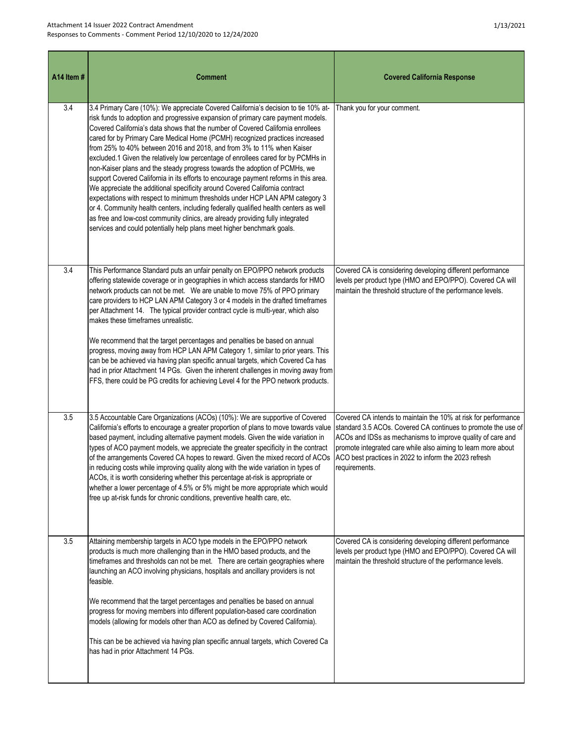| A14 Item# | <b>Comment</b>                                                                                                                                                                                                                                                                                                                                                                                                                                                                                                                                                                                                                                                                                                                                                                                                                                                                                                                                                                                                                                                                                   | <b>Covered California Response</b>                                                                                                                                                                                                                                                                                                       |
|-----------|--------------------------------------------------------------------------------------------------------------------------------------------------------------------------------------------------------------------------------------------------------------------------------------------------------------------------------------------------------------------------------------------------------------------------------------------------------------------------------------------------------------------------------------------------------------------------------------------------------------------------------------------------------------------------------------------------------------------------------------------------------------------------------------------------------------------------------------------------------------------------------------------------------------------------------------------------------------------------------------------------------------------------------------------------------------------------------------------------|------------------------------------------------------------------------------------------------------------------------------------------------------------------------------------------------------------------------------------------------------------------------------------------------------------------------------------------|
| 3.4       | 3.4 Primary Care (10%): We appreciate Covered California's decision to tie 10% at-<br>risk funds to adoption and progressive expansion of primary care payment models.<br>Covered California's data shows that the number of Covered California enrollees<br>cared for by Primary Care Medical Home (PCMH) recognized practices increased<br>from 25% to 40% between 2016 and 2018, and from 3% to 11% when Kaiser<br>excluded.1 Given the relatively low percentage of enrollees cared for by PCMHs in<br>non-Kaiser plans and the steady progress towards the adoption of PCMHs, we<br>support Covered California in its efforts to encourage payment reforms in this area.<br>We appreciate the additional specificity around Covered California contract<br>expectations with respect to minimum thresholds under HCP LAN APM category 3<br>or 4. Community health centers, including federally qualified health centers as well<br>as free and low-cost community clinics, are already providing fully integrated<br>services and could potentially help plans meet higher benchmark goals. | Thank you for your comment.                                                                                                                                                                                                                                                                                                              |
| 3.4       | This Performance Standard puts an unfair penalty on EPO/PPO network products<br>offering statewide coverage or in geographies in which access standards for HMO<br>network products can not be met. We are unable to move 75% of PPO primary<br>care providers to HCP LAN APM Category 3 or 4 models in the drafted timeframes<br>per Attachment 14. The typical provider contract cycle is multi-year, which also<br>makes these timeframes unrealistic.<br>We recommend that the target percentages and penalties be based on annual<br>progress, moving away from HCP LAN APM Category 1, similar to prior years. This<br>can be be achieved via having plan specific annual targets, which Covered Ca has<br>had in prior Attachment 14 PGs. Given the inherent challenges in moving away from<br>FFS, there could be PG credits for achieving Level 4 for the PPO network products.                                                                                                                                                                                                         | Covered CA is considering developing different performance<br>levels per product type (HMO and EPO/PPO). Covered CA will<br>maintain the threshold structure of the performance levels.                                                                                                                                                  |
| 3.5       | 3.5 Accountable Care Organizations (ACOs) (10%): We are supportive of Covered<br>California's efforts to encourage a greater proportion of plans to move towards value<br>based payment, including alternative payment models. Given the wide variation in<br>types of ACO payment models, we appreciate the greater specificity in the contract<br>of the arrangements Covered CA hopes to reward. Given the mixed record of ACOs<br>in reducing costs while improving quality along with the wide variation in types of<br>ACOs, it is worth considering whether this percentage at-risk is appropriate or<br>whether a lower percentage of 4.5% or 5% might be more appropriate which would<br>free up at-risk funds for chronic conditions, preventive health care, etc.                                                                                                                                                                                                                                                                                                                     | Covered CA intends to maintain the 10% at risk for performance<br>standard 3.5 ACOs. Covered CA continues to promote the use of<br>ACOs and IDSs as mechanisms to improve quality of care and<br>promote integrated care while also aiming to learn more about<br>ACO best practices in 2022 to inform the 2023 refresh<br>requirements. |
| 3.5       | Attaining membership targets in ACO type models in the EPO/PPO network<br>products is much more challenging than in the HMO based products, and the<br>timeframes and thresholds can not be met.  There are certain geographies where<br>launching an ACO involving physicians, hospitals and ancillary providers is not<br>feasible.<br>We recommend that the target percentages and penalties be based on annual<br>progress for moving members into different population-based care coordination<br>models (allowing for models other than ACO as defined by Covered California).<br>This can be be achieved via having plan specific annual targets, which Covered Ca<br>has had in prior Attachment 14 PGs.                                                                                                                                                                                                                                                                                                                                                                                 | Covered CA is considering developing different performance<br>levels per product type (HMO and EPO/PPO). Covered CA will<br>maintain the threshold structure of the performance levels.                                                                                                                                                  |